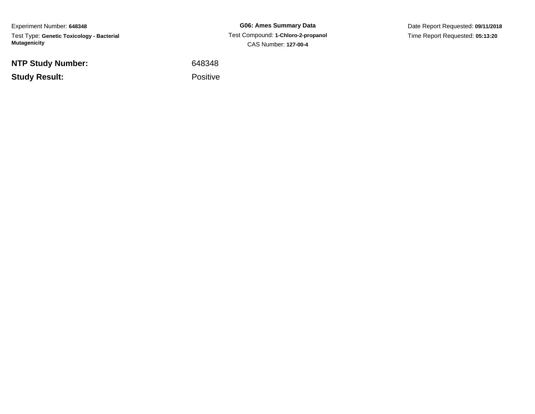Experiment Number: **648348**Test Type: **Genetic Toxicology - Bacterial Mutagenicity**

**NTP Study Number:**

**Study Result:**

**G06: Ames Summary Data** Test Compound: **1-Chloro-2-propanol**CAS Number: **127-00-4**

Date Report Requested: **09/11/2018**Time Report Requested: **05:13:20**

<sup>648348</sup>

Positive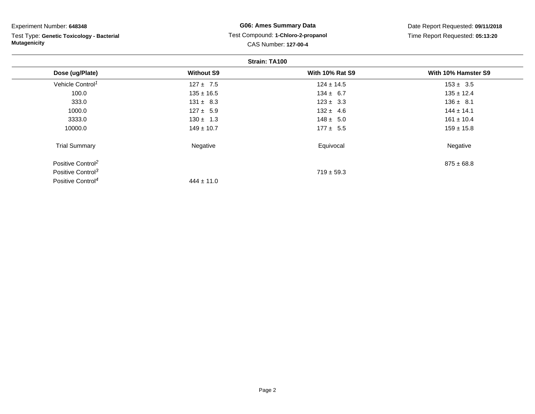Test Type: **Genetic Toxicology - Bacterial Mutagenicity**

# **G06: Ames Summary Data** Test Compound: **1-Chloro-2-propanol**CAS Number: **127-00-4**

Date Report Requested: **09/11/2018**Time Report Requested: **05:13:20**

#### **Strain: TA100**

|                               | <b>UUUUU</b> LAIVV |                        |                     |  |  |
|-------------------------------|--------------------|------------------------|---------------------|--|--|
| Dose (ug/Plate)               | <b>Without S9</b>  | <b>With 10% Rat S9</b> | With 10% Hamster S9 |  |  |
| Vehicle Control <sup>1</sup>  | $127 \pm 7.5$      | $124 \pm 14.5$         | $153 \pm 3.5$       |  |  |
| 100.0                         | $135 \pm 16.5$     | $134 \pm 6.7$          | $135 \pm 12.4$      |  |  |
| 333.0                         | $131 \pm 8.3$      | $123 \pm 3.3$          | $136 \pm 8.1$       |  |  |
| 1000.0                        | $127 \pm 5.9$      | $132 \pm 4.6$          | $144 \pm 14.1$      |  |  |
| 3333.0                        | $130 \pm 1.3$      | $148 \pm 5.0$          | $161 \pm 10.4$      |  |  |
| 10000.0                       | $149 \pm 10.7$     | $177 \pm 5.5$          | $159 \pm 15.8$      |  |  |
| <b>Trial Summary</b>          | Negative           | Equivocal              | Negative            |  |  |
| Positive Control <sup>2</sup> |                    |                        | $875 \pm 68.8$      |  |  |
| Positive Control <sup>3</sup> |                    | $719 \pm 59.3$         |                     |  |  |
| Positive Control <sup>4</sup> | $444 \pm 11.0$     |                        |                     |  |  |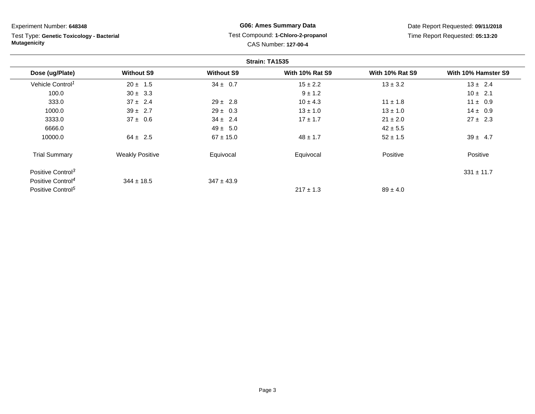Test Type: **Genetic Toxicology - Bacterial Mutagenicity**

# **G06: Ames Summary Data** Test Compound: **1-Chloro-2-propanol**CAS Number: **127-00-4**

Date Report Requested: **09/11/2018**Time Report Requested: **05:13:20**

|                               | Strain: TA1535         |                   |                        |                        |                     |
|-------------------------------|------------------------|-------------------|------------------------|------------------------|---------------------|
| Dose (ug/Plate)               | <b>Without S9</b>      | <b>Without S9</b> | <b>With 10% Rat S9</b> | <b>With 10% Rat S9</b> | With 10% Hamster S9 |
| Vehicle Control <sup>1</sup>  | $20 \pm 1.5$           | $34 \pm 0.7$      | $15 \pm 2.2$           | $13 \pm 3.2$           | $13 \pm 2.4$        |
| 100.0                         | $30 \pm 3.3$           |                   | $9 \pm 1.2$            |                        | $10 \pm 2.1$        |
| 333.0                         | $37 \pm 2.4$           | $29 \pm 2.8$      | $10 \pm 4.3$           | $11 \pm 1.8$           | $11 \pm 0.9$        |
| 1000.0                        | $39 \pm 2.7$           | $29 \pm 0.3$      | $13 \pm 1.0$           | $13 \pm 1.0$           | $14 \pm 0.9$        |
| 3333.0                        | $37 \pm 0.6$           | $34 \pm 2.4$      | $17 \pm 1.7$           | $21 \pm 2.0$           | $27 \pm 2.3$        |
| 6666.0                        |                        | $49 \pm 5.0$      |                        | $42 \pm 5.5$           |                     |
| 10000.0                       | $64 \pm 2.5$           | $67 \pm 15.0$     | $48 \pm 1.7$           | $52 \pm 1.5$           | $39 \pm 4.7$        |
| <b>Trial Summary</b>          | <b>Weakly Positive</b> | Equivocal         | Equivocal              | Positive               | Positive            |
| Positive Control <sup>3</sup> |                        |                   |                        |                        | $331 \pm 11.7$      |
| Positive Control <sup>4</sup> | $344 \pm 18.5$         | $347 \pm 43.9$    |                        |                        |                     |
| Positive Control <sup>5</sup> |                        |                   | $217 \pm 1.3$          | $89 \pm 4.0$           |                     |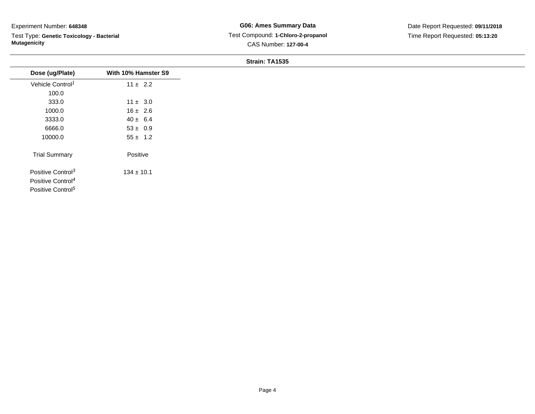Test Type: **Genetic Toxicology - Bacterial Mutagenicity**

**G06: Ames Summary Data** Test Compound: **1-Chloro-2-propanol**CAS Number: **127-00-4**

Date Report Requested: **09/11/2018**Time Report Requested: **05:13:20**

### **Strain: TA1535**

| Dose (ug/Plate)               | With 10% Hamster S9 |
|-------------------------------|---------------------|
| Vehicle Control <sup>1</sup>  | $11 \pm 2.2$        |
| 100.0                         |                     |
| 333.0                         | $11 \pm 3.0$        |
| 1000.0                        | $16 \pm 2.6$        |
| 3333.0                        | $40 \pm 6.4$        |
| 6666.0                        | $53 \pm 0.9$        |
| 10000.0                       | $55 \pm 1.2$        |
| <b>Trial Summary</b>          | Positive            |
| Positive Control <sup>3</sup> | $134 \pm 10.1$      |
| Positive Control <sup>4</sup> |                     |
| Positive Control <sup>5</sup> |                     |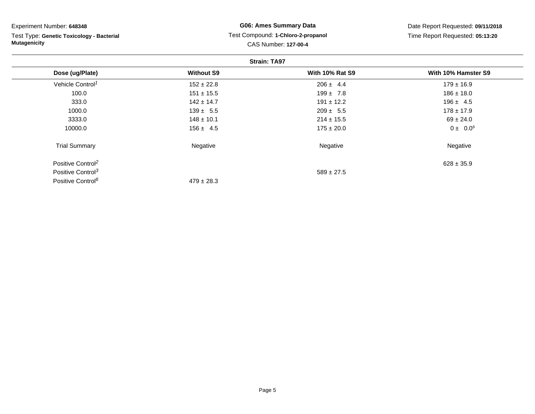| Experiment Number: 648348                 | <b>G06: Ames Summary Data</b>                              |                        | Date Report Requested: 09/11/2018 |  |
|-------------------------------------------|------------------------------------------------------------|------------------------|-----------------------------------|--|
| Test Type: Genetic Toxicology - Bacterial | Test Compound: 1-Chloro-2-propanol<br>CAS Number: 127-00-4 |                        | Time Report Requested: 05:13:20   |  |
| <b>Mutagenicity</b>                       |                                                            |                        |                                   |  |
|                                           |                                                            | <b>Strain: TA97</b>    |                                   |  |
| Dose (ug/Plate)                           | <b>Without S9</b>                                          | <b>With 10% Rat S9</b> | With 10% Hamster S9               |  |
| Vehicle Control <sup>1</sup>              | $152 \pm 22.8$                                             | $206 \pm 4.4$          | $179 \pm 16.9$                    |  |
| 100.0                                     | $151 \pm 15.5$                                             | $199 \pm 7.8$          | $186 \pm 18.0$                    |  |
| 333.0                                     | $142 \pm 14.7$                                             | $191 \pm 12.2$         | $196 \pm 4.5$                     |  |
| 1000.0                                    | $139 \pm 5.5$                                              | $209 \pm 5.5$          | $178 \pm 17.9$                    |  |
| 3333.0                                    | $148 \pm 10.1$                                             | $214 \pm 15.5$         | $69 \pm 24.0$                     |  |
| 10000.0                                   | $156 \pm 4.5$                                              | $175 \pm 20.0$         | $0 \pm 0.0^s$                     |  |
| <b>Trial Summary</b>                      | Negative                                                   | Negative               | Negative                          |  |

Positive Control<sup>2</sup>Positive Control<sup>3</sup> Positive Control<sup>6</sup>

 $^{2}$  628 ± 35.9

 $479 \pm 28.3$ 

 $589 \pm 27.5$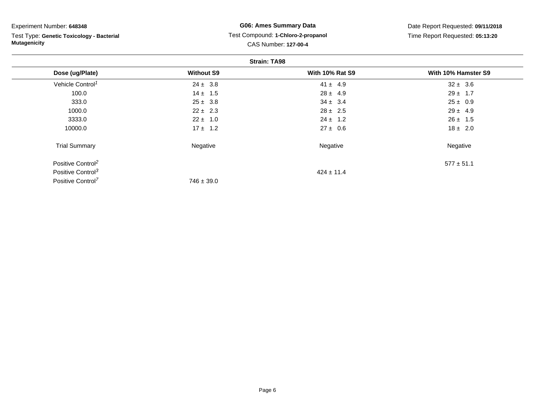Test Type: **Genetic Toxicology - Bacterial Mutagenicity**

## **G06: Ames Summary Data** Test Compound: **1-Chloro-2-propanol**CAS Number: **127-00-4**

Date Report Requested: **09/11/2018**Time Report Requested: **05:13:20**

| <b>Strain: TA98</b>           |                   |                        |                     |
|-------------------------------|-------------------|------------------------|---------------------|
| Dose (ug/Plate)               | <b>Without S9</b> | <b>With 10% Rat S9</b> | With 10% Hamster S9 |
| Vehicle Control <sup>1</sup>  | $24 \pm 3.8$      | $41 \pm 4.9$           | $32 \pm 3.6$        |
| 100.0                         | $14 \pm 1.5$      | $28 \pm 4.9$           | $29 \pm 1.7$        |
| 333.0                         | $25 \pm 3.8$      | $34 \pm 3.4$           | $25 \pm 0.9$        |
| 1000.0                        | $22 \pm 2.3$      | $28 \pm 2.5$           | $29 \pm 4.9$        |
| 3333.0                        | $22 \pm 1.0$      | $24 \pm 1.2$           | $26 \pm 1.5$        |
| 10000.0                       | $17 \pm 1.2$      | $27 \pm 0.6$           | $18 \pm 2.0$        |
| <b>Trial Summary</b>          | Negative          | Negative               | Negative            |
| Positive Control <sup>2</sup> |                   |                        | $577 \pm 51.1$      |
| Positive Control <sup>3</sup> |                   | $424 \pm 11.4$         |                     |
| Positive Control <sup>7</sup> | $746 \pm 39.0$    |                        |                     |